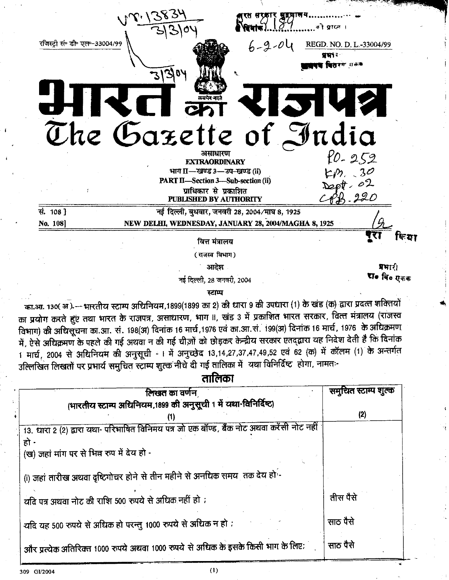का.आ. १३०( अ.) — भारतीय स्टाम्प अधिनियम,1899(1899 का 2) की धारा 9 की उपधारा (1) के खंड (क) द्वारा प्रदत्त शक्तियों का प्रयोग करते हुए तथा भारत के राजपत्र, असाधारण, भाग II, खंड 3 में प्रकाशित भारत सरकार, वित्त मंत्रालय (राजस्व विभाग) की अधिसूचना का.आ. सं. 198(अ) दिनांक 16 मार्च 1976 एवं का.आ.सं. 199(अ) दिनांक 16 मार्च ,1976 के अधिक्रमण में, ऐसे अधिक्रमण के पहले की गई अथवा न की गई चीज़ों को छोड़कर केन्द्रीय सरकार एतद्द्वारा यह निदेश देती है कि दिनांक 1 मार्च, 2004 से अधिनियम की अनुसूची - I में अनुच्छेद 13,14,27,37,47,49,52 एवं 62 (क) में कॉलम (1) के अन्तर्गत उल्लिखित लिखतों पर प्रभार्य समुचित स्टाम्प शुल्क नीचे दी गई तालिका में यथा विनिर्दिष्ट होगा, नामतः-

तालिका

| लिखत का वर्णन                                                                              | समुचित स्टाम्प शुल्क |
|--------------------------------------------------------------------------------------------|----------------------|
| (भारतीय स्टाम्प अधिनियम,1899 की अनुसूची 1 में यथा-विनिर्दिष्ट)                             |                      |
|                                                                                            | (2)                  |
| 13. धारा 2 (2) द्वारा यथा- परिभाषित विनिमय पत्र जो एक बॉण्ड, बैंक नोट अथवा करेंसी नोट नहीं |                      |
| हो -                                                                                       |                      |
| (ख) जहां मांग पर से भिन्न रुप में देय हो -                                                 |                      |
|                                                                                            |                      |
| (i) जहां तारीख अथवा दृष्टिगोचर होने से तीन महीने से अनधिक समय तक देय हो                    |                      |
|                                                                                            | तीस पैसे             |
| यदि पत्र अथवा नोट की राशि 500 रुपये से अधिक नहीं हो ;                                      |                      |
|                                                                                            | साठ पैसे             |
| यदि यह 500 रुपये से अधिक हो परन्तु 1000 रुपये से अधिक न हो :                               |                      |
| और प्रत्येक अतिरिक्त 1000 रुपये अथवा 1000 रुपये से अधिक के इसके किसी भाग के लिए:           | साठ पैसे             |
|                                                                                            |                      |

 $(1)$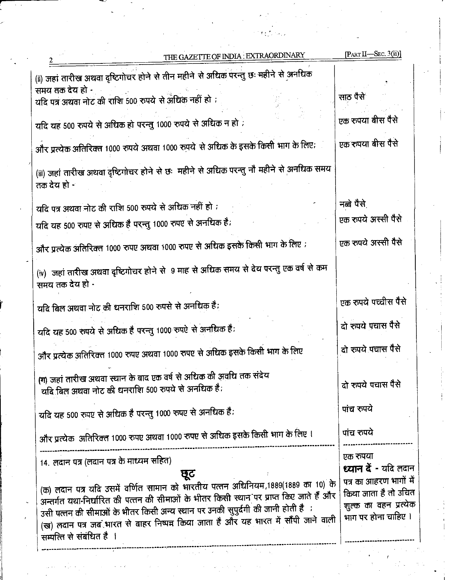| THE GAZETTE OF INDIA : EXTRAORDINARY                                                                           | [PART II-SEC. $3(ii)$ ]                      |
|----------------------------------------------------------------------------------------------------------------|----------------------------------------------|
| (ii) जहां तारीख अथवा दृष्टिगोचर होने से तीन महीने से अधिक परन्तु छः महीने से अनधिक                             |                                              |
| समय तक देय हो -                                                                                                |                                              |
| यदि पत्र अथवा नोट की राशि 500 रुपये से अधिक नहीं हो ;                                                          | साठ पैसे                                     |
|                                                                                                                | एक रुपया बीस पैसे                            |
| यदि यह 500 रुपये से अधिक हो परन्तु 1000 रुपये से अधिक न हो .                                                   |                                              |
| और प्रत्येक अतिरिक्त 1000 रुपये अथवा 1000 रुपये से अधिक के इसके किसी भाग के लिए;                               | एक रुपया बीस पैसे                            |
| (iii) जहां तारीख अथवा दृष्टिगोचर होने से छः  महीने से अधिक परन्तु नौ महीने से अनधिक समय<br>तक देय हो -         |                                              |
| यदि पत्र अथवा नोट की राशि 500 रुपये से अधिक नहीं हो ;                                                          | नब्बे पैसे                                   |
| यदि यह 500 रुपए से अधिक है परन्तु 1000 रुपए से अनधिक है;                                                       | एक रुपये अस्सी पैसे                          |
| और प्रत्येक अतिरिक्त 1000 रुपए अथवा 1000 रुपए से अधिक इसके किसी भाग के लिए ;                                   | एक रुपये अस्सी पैसे                          |
| (iv)  जहां तारीख अथवा दृष्टिगोचर होने से  9 माह से अधिक समय से देय परन्तु एक वर्ष से कम<br>समय तक देय हो -     |                                              |
| यदि बिल अथवा नोट की धनराशि 500 रुपसे से अनधिक है;                                                              | एक रुपये पच्चीस पैसे                         |
| यदि यह 500 रुपये से अधिक है परन्तु 1000 रुपऐ से अनधिक है;                                                      | दो रुपये पचास पैसे                           |
| और प्रत्येक अतिरिक्त 1000 रुपए अथवा 1000 रुपए से अधिक इसके किसी भाग के लिए                                     | दो रुपये पचास पैसे                           |
| (ग) जहां तारीख अथवा स्थान के बाद एक वर्ष से अधिक की अवधि तक संदेय                                              |                                              |
| यदि बिल अथवा नोट की धनराशि 500 रुपये से अनधिक है;                                                              | दो रुपये पचास पैसे                           |
| यदि यह 500 रुपए से अधिक है परन्तु 1000 रुपए से अनधिक है;                                                       | पांच रुपये                                   |
| और प्रत्येक) अतिरिक्त 1000 रुपए अथवा 1000 रुपए से अधिक इसके किसी भाग के लिए ।                                  | पांच रुपये                                   |
| 14. लदान पत्र (लदान पत्र के माध्यम सहित)                                                                       | एक रुपया                                     |
| छूट                                                                                                            | ध्यान दें - यदि लदान                         |
| (क) लदान पत्र यदि उसमें वर्णित सामान को भारतीय पत्तन अधिनियम,1889(1889 का 10) के                               | पत्र का आहरण भागों में                       |
| अन्तर्गत यथा-निर्धारित की पत्तन की सीमाओं के भीतर किसी स्थान पर प्राप्त किए जाते हैं और                        | किया जाता है तो उचित                         |
| उसी पत्तन की सीमाओं के भीतर किसी अन्य स्थान पर उनकी सुपुर्दगी की जानी होती है                                  | शुल्क का वहन प्रत्येक<br>भाग पर होना चाहिए । |
| (ख) लदान पत्र जब भारत से बाहर निष्पन्न किया जाता है और यह भारत में सौंपी जाने वाली<br>सम्पत्ति से संबंधित है । |                                              |
|                                                                                                                |                                              |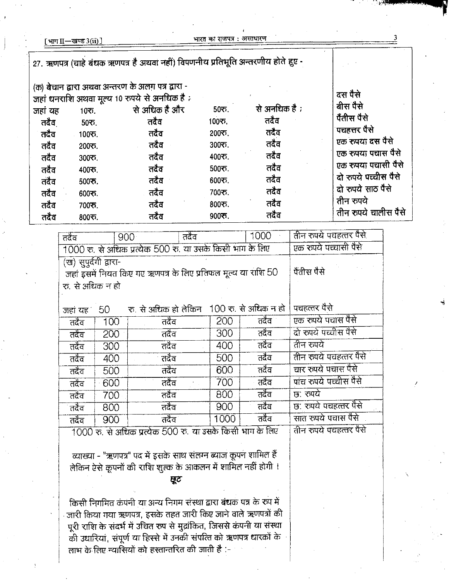|         | [भाग II—खण्ड 3(ii) ]   |                                                                                  | भारत का राजपत्र : असाधारण |               |                      |
|---------|------------------------|----------------------------------------------------------------------------------|---------------------------|---------------|----------------------|
|         |                        | 27. ऋणपत्र (चाहे बंधक ऋणपत्र है अथवा नहीं) विपणनीय प्रतिभूति अन्तरणीय होते हुए - |                           |               |                      |
|         |                        | (क) बेचान द्वारा अथवा अन्तरण के अलग पत्र द्वारा -                                |                           |               |                      |
|         |                        | जहां धनराशि अथवा मूल्य 10 रुपये से अनधिक है :                                    |                           |               | दस पैसे              |
| जहां यह | $10$ ক.                | से अधिक है और                                                                    | $505$ .                   | से अनधिक है ; | बीस पैसे             |
| तदैव    | $50\overline{5}$ .     | तदैव                                                                             | 100ক,                     | तदैव          | पैंतीस पैसे          |
| तदैव    | 100ক.                  | तदैव                                                                             | 200ক.                     | तदैव          | पचहत्तर पैसे         |
| तदैव    | 200रु.                 | तदैव                                                                             | 300रु.                    | तदैव          | एक रुपया दस पैसे     |
| तदैव    | $300$ रु.              | तदैव                                                                             | 400ক.                     | तदैव          | एक रुपया पंचास पैसे  |
| तदैव    | 400 रु.                | तदैव                                                                             | $500$ रु.                 | तदैव          | एक रुपया पचासी पैसे  |
| तदैव    | $500$ $\overline{5}$ . | तदैव                                                                             | 600रु.                    | तदैव          | दो रुपये पच्चीस पैसे |
| तदैव    | 600रु.                 | तदैव                                                                             | 700ফ.                     | तदैव          | दो रुपये साठ पैसे    |
| तदैव    | 70035.                 | तदैव                                                                             | 800ক.                     | तदैव          | तीन रुपये            |
| तदैव    | 800ক.                  | तदैव                                                                             | $900$ ক.                  | तदैव          | तीन रुपये चालीस पैसे |

| तदैव                                                                                   |      | तदेव<br>900 <sub>1</sub>                  |      | 1000                   | तीन रुपये पचहत्तर पैसे |
|----------------------------------------------------------------------------------------|------|-------------------------------------------|------|------------------------|------------------------|
| 1000 रु. से अधिक प्रत्येक 500 रु. या उसके किसी भाग के लिए                              |      |                                           |      |                        | एक रुपये पच्चासी पैसे  |
| (ख) सुपूर्दगी द्वारा-<br>जहां इसमें नियत किए गए ऋणपत्र के लिए प्रतिफल मूल्य या राशि 50 |      |                                           |      | पैतीस पैसे             |                        |
| रा. से अधिक न हो                                                                       |      |                                           |      |                        |                        |
| जहां यह 1                                                                              | 50 - | रु. से अधिक हो लेकिन 100 रु. से अधिक न हो |      |                        | पचहत्तर पैसे           |
| तदैव                                                                                   | 100  | तदैव                                      | 200  | तदेव                   | एक रुपये पचास पैसे     |
| तदेव                                                                                   | 200  | तदैव                                      | 300  | तदेव                   | दो रुपये पच्चीस पैसे   |
| तदेव                                                                                   | 300  | तदैव                                      | 400  | तदेव                   | तीन रुपये              |
| तदैव                                                                                   | 400  | तदैव                                      | 500  | तदेव                   | तीन रुपये पचहत्तर पैसे |
| तदैव                                                                                   | 500  | तदैव                                      | 600  | तदैव                   | चार रुपये पचास पैसे    |
| तदेव                                                                                   | 600  | तदैव                                      | 700  | तदेव                   | पांच रुपये पच्चीस पैसे |
| तदैव                                                                                   | 700  | तदैव                                      | 800  | तदेव                   | छ: रुपये               |
| तदेव                                                                                   | 800  | तदैव                                      | 900  | तदेव                   | छ: रुपये पचहत्तर पैसे  |
| तदैव                                                                                   | 900  | तदैव                                      | 1000 | तदैव                   | सात रुपये पचास पैसे    |
| 1000 रु. से अधिक प्रत्येक 500 रु. या उसके किसी भाग के लिए                              |      |                                           |      | तीन रुपये पचहत्तर पैसे |                        |

व्याख्या - "ऋणपत्र" पद में इसके साथ संलग्न ब्याज कूपन शामिल हैं लेकिन ऐसे कूपनों की राशि शुल्क के आकलन में शामिल नहीं होगी ।

छूट

किसी निगमित कंपनी या अन्य निगम संस्था द्वारा बंधक पत्र के रुप में ्जारी किया गया ऋणपत्र, इसके तहत जारी किए जाने वाले ऋणपत्रों की पूरी राशि के संदर्भ में उचित रुप से मुद्रांकित, जिससे कंपनी या संस्था ू<br>की उधारियां, संपूर्ण या हिस्से में उनकी संपत्ति को ऋणपत्र धारकों के लाभ के लिए न्यासियों को हस्तान्तरित की जाती है :-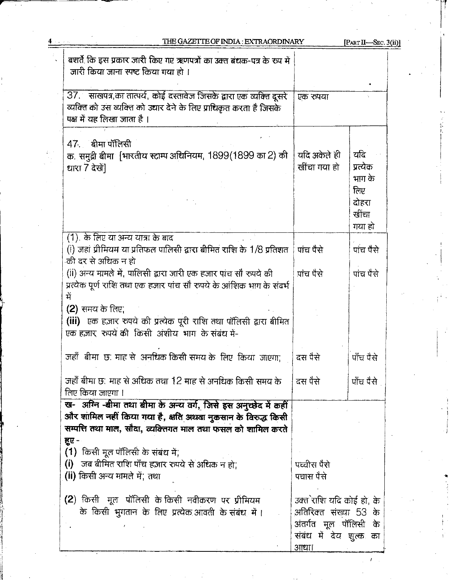| THE GAZETTE OF INDIA : EXTRAORDINARY                                                                                                                                     |                                                                                 | [PART II-SEC. $3(ii)$ ]                                      |
|--------------------------------------------------------------------------------------------------------------------------------------------------------------------------|---------------------------------------------------------------------------------|--------------------------------------------------------------|
| बशर्ते कि इस प्रकार जारी किए गए ऋणपत्रों का उक्त बंधक-पत्र के रुप में<br>जारी किया जाना स्पष्ट किया गया हो ।                                                             |                                                                                 |                                                              |
| 37. साखपत्र,का तात्पर्य, कोई दस्तावेज जिसके द्वारा एक व्यक्ति दूसरे<br>व्यक्ति को उस व्यक्ति को उद्यार देने के लिए प्राधिकृत करता है जिसके<br>पक्ष में यह लिखा जाता है । | एक रुपया                                                                        |                                                              |
| $47$ बीमा पॉलिसी                                                                                                                                                         |                                                                                 |                                                              |
| क. समुद्री बीमा [भारतीय स्टाम्प अधिनियम, 1899(1899 का 2) की<br>धारा 7 देखें]                                                                                             | यदि अकेले ही<br>खींचा गया हो                                                    | यदि<br>प्रत्येक<br>भाग के<br>लिए<br>दोहरा<br>खींचा<br>गया हो |
| (1) के लिए या अन्य यात्रा के बाद                                                                                                                                         |                                                                                 |                                                              |
| (i) जहां प्रीमियम या प्रतिफल पालिसी द्वारा बीमित राशि के 1/8 प्रतिशत<br>की दर से अधिक न हो                                                                               | पांच पैसे                                                                       | पांच पैसे                                                    |
| (ii) अन्य मामले में, पालिसी द्वारा जारी एक हजार पांच सौ रुपये की<br>प्रत्येक पूर्ण राशि तथा एक हजार पांच सौ रुपये के आंशिक भाग के संदर्भ<br>में                          | पाच पैसे                                                                        | पांच पैसे                                                    |
| $(2)$ समय के लिए,<br>(iii) एक हज़ार रुपये की प्रत्येक पूरी राशि तथा पॉलिसी द्वारा बीमित<br>एक हज़ार, रुपये की किसी अंशीय, भाग के संबंध में-                              |                                                                                 |                                                              |
| जहाँ बीमा छ: माह से अनधिक किसी समय के लिए किया जाएगा;                                                                                                                    | दस पैसे                                                                         | पाँच पैसे                                                    |
| जहाँ बीमा छ: माह से अधिक तथा 12 माह से अनधिक किसी समय के<br>लिए किया जाएगा ।                                                                                             | दस पैसे                                                                         | पाँच पैसे                                                    |
| ख- अग्नि -बीमा तथा बीमा के अन्य वर्ग, जिसे इस अनुच्छेद में कहीं<br>और शामिल नहीं किया गया है, क्षति अथवा नुकसान के विरुद्ध किसी                                          |                                                                                 |                                                              |
| सम्पत्ति तथा माल, सौदा, व्यक्तिगत माल तथा फसल को शामिल करते                                                                                                              |                                                                                 |                                                              |
| हुए -                                                                                                                                                                    |                                                                                 |                                                              |
| (1) किसी मूल पॉलिसी के संबंध में:                                                                                                                                        |                                                                                 |                                                              |
| जब बीमित राशि पाँच हजार रुपये से अधिक न हो;<br>(i)<br>(ii) किसी अन्य मामले में; तथा                                                                                      | पच्चीस पैसे<br>पचास पैसे                                                        |                                                              |
| (2) किसी  मूल  पॉलिसी के किसी  नवीकरण  पर  प्रीमियम                                                                                                                      | उक्ते राशि यदि कोई हो, के                                                       |                                                              |
| के किसी भुगतान के लिए प्रत्येक आवती के संबंध में ।                                                                                                                       | अतिरिक्त संख्या 53 के<br>अंतर्गत मूल पॉलिसी के<br>संबंध में देय शुल्क का<br>आधा |                                                              |

 $\bar{t}$ 

 $\frac{4}{1}$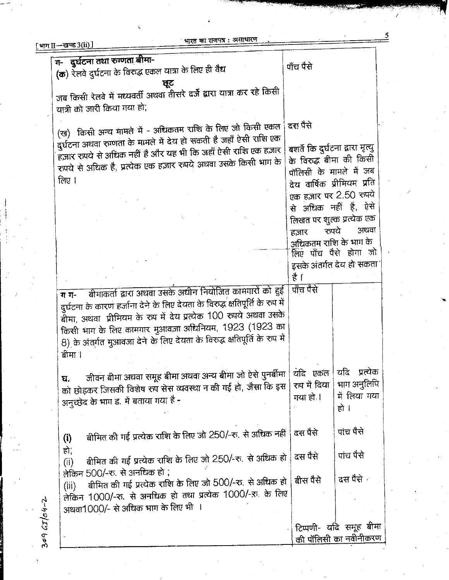|                    | भारत का राजपत्र : जन्नाला<br>[ भाग $\text{II}-$ खण्ड 3(ii) $\text{I}$                                                                           |                                  |                           |
|--------------------|-------------------------------------------------------------------------------------------------------------------------------------------------|----------------------------------|---------------------------|
|                    | ग- दुर्घटना तथा रुग्णता बीमा-                                                                                                                   |                                  |                           |
|                    | (क) रेलवे दुर्घटना के विरुद्ध एकल यात्रा के लिए ही वैद्य                                                                                        | पाँच पैसे                        |                           |
|                    | ਬ੍ਰੂਟ                                                                                                                                           |                                  |                           |
|                    | जब किसी रेलवे में मध्यवर्ती अथवा तीसरे दर्जे द्वारा यात्रा कर रहे किसी                                                                          |                                  |                           |
|                    | यात्री को जारी किया गया हो;                                                                                                                     |                                  |                           |
|                    |                                                                                                                                                 | दरः पैसे                         |                           |
|                    | (ख) किसी अन्य मामले में - अधिकतम राशि के लिए जो किसी एकल                                                                                        |                                  |                           |
|                    | दुर्घटना अथवा रुगणता के मामले में देय हो सकती है जहाँ ऐसी राशि एक                                                                               | बशर्ते कि दुर्घटना द्वारा मृत्यु |                           |
|                    | हज़ार रुपये से अधिक नहीं है और यह भी कि जहाँ ऐसी राशि एक हज़ार<br>रुपये से अधिक है, प्रत्येक एक हज़ार रुपये अथवा उसके किसी भाग के               | के विरुद्ध बीमा की किसी          |                           |
|                    |                                                                                                                                                 | पॉलिसी के मामले में जब           |                           |
|                    | लिए ।                                                                                                                                           | देय वार्षिक प्रीमियम प्रति       |                           |
|                    |                                                                                                                                                 | एक हज़ार पर 2.50 रुपये           |                           |
|                    |                                                                                                                                                 | से अधिक नहीं है, ऐसे             |                           |
|                    |                                                                                                                                                 | लिखत पर शुल्क प्रत्येक एक        |                           |
|                    |                                                                                                                                                 | रुपये<br>हज़ार                   | अथवा                      |
|                    |                                                                                                                                                 | अधिकतम राशि के भाग के            | लिए पाँच पैसे होगा जो     |
|                    |                                                                                                                                                 |                                  | इसके अंतर्गत देय हो संकता |
|                    |                                                                                                                                                 | है ।                             |                           |
|                    |                                                                                                                                                 | पाँच पैसे                        |                           |
|                    | बीमाकर्ता द्वारा अथवा उसके अधीन नियोजित कामगारों को हुई<br>ग ग-<br>दुर्घटना के कारण हर्जाना देने के लिए देयता के विरुद्ध क्षतिपूर्ति के रुप में |                                  |                           |
|                    | बीमा, अथवा प्रीमियम के रूप में देय प्रत्येक 100 रुपये अथवा उसके                                                                                 |                                  |                           |
|                    | किसी भाग के लिए कामगार मुआवज़ा अधिनियम, 1923 (1923 का                                                                                           |                                  |                           |
|                    | 8) के अंतर्गत मुआवजा देने के लिए देयता के विरुद्ध क्षतिपूर्ति के रुप में                                                                        |                                  |                           |
|                    | बीमा ।                                                                                                                                          |                                  |                           |
|                    |                                                                                                                                                 |                                  |                           |
|                    | जीवन बीमा अथवा समूह बीमा अथवा अन्य बीमा जो ऐसे पुनर्बीमा<br>घ.                                                                                  | यदि एकल                          | यदि प्रत्येक              |
|                    | को छोड़कर जिसकी विशेष रुप सेस व्यवस्था न की गई हो, जैसा कि इस                                                                                   | रुप में दिया                     | भाग अनुलिपि               |
|                    | अनुच्छेद के भाग ड. में बताया गया है -                                                                                                           | गया हो ।                         | में लिया गया              |
|                    |                                                                                                                                                 |                                  | हो ।                      |
|                    |                                                                                                                                                 | दस पैसे                          | पाच पैसे                  |
|                    | बीमित की गई प्रत्येक राशि के लिए जो 250/-रु. से अधिक नहीं<br>(i)                                                                                |                                  |                           |
|                    | हो,                                                                                                                                             | दस पैसे                          | पांच पैसे                 |
|                    | बीमित की गई प्रत्येक राशि के लिए जो 250/-रु. से अधिक हो  <br>(ii)                                                                               |                                  |                           |
|                    | लेकिन 500/-रु. से अनधिक हो ;                                                                                                                    | बीस पैसे                         | दस पैसे न                 |
|                    | बीमित की गई प्रत्येक राशि के लिए जो 500/-रु. से अधिक हो<br>(iii)<br>लेकिन 1000/-रु. से अनधिक हो तथा प्रत्येक 1000/-रु. के लिए                   |                                  |                           |
|                    |                                                                                                                                                 |                                  |                           |
|                    | अथवा1000/- से अधिक भाग के लिए भी ।                                                                                                              |                                  |                           |
|                    |                                                                                                                                                 |                                  | टिप्पणी- यदि समूह बीमा    |
| $309 G T / 04 - 2$ |                                                                                                                                                 |                                  | की पॉलिसी का नवीनीकरण     |
|                    |                                                                                                                                                 |                                  |                           |

भारत का राजपत्र : असाधारण

5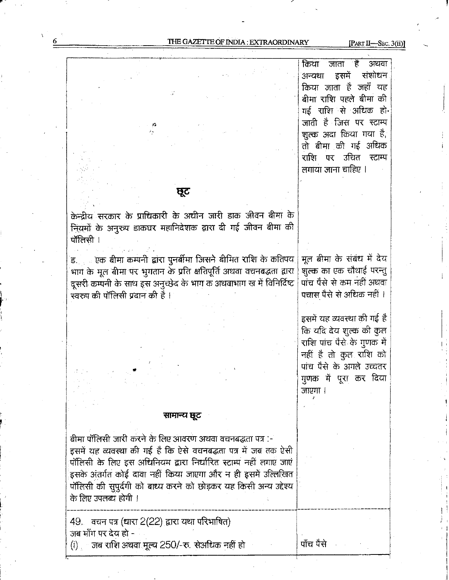THE GAZETTE OF INDIA : EXTRAORDINARY [PART II-SEC. 3(ii)]

किया `है` अथवा जाता संशोधन अन्यथा इसमे किया जाता है जहाँ यह बीमा राशि पहले बीमा की गई राशि से अधिक हो-जाती है जिस पर स्टाम्प शुल्क अदा किया गया है, तो बीमा की गई अधिक राशि पर उचित स्टाम्प लगाया जाना चाहिए ।

ष्ट्रट

केन्द्रीय सरकार के प्राधिकारी के अधीन जारी डाक जीवन बीमा के gfimfiqgfifiwfifldwzwn\$mflgmw i\_

ड. . . . एक बीमा कम्पनी द्वारा पुनर्बीमा जिसने बीमित राशि के कतिपय<br>भाग के मूल बीमा पर भुगतान के प्रति क्षतिपूर्ति अथवा वचनबद्धता द्वारा<br>दसरी कमानी के साथ दस अनन्छेट के भाग क अथवाभाग रव में विनिर्दिष्ट भाग के मूल बीमा पर भुगतान के प्रति क्षतिपूर्ति अथवा वचनबद्धता द्वारा<br>दूसरी कम्पनी के साथ इस अनुच्छेद के भाग क अथवाभाग ख में विनिर्दिष्ट स्वरुप की पॉलिसी प्रदान की है ।

मूल बीमा के संबंध में देय शुल्क का एक चौथाई परन्तु पांच पैसे से कम नहीं अथवा पचास पैसे से अधिक नहीं ।

इसमें यह व्यवस्था की गई है कि यदि देय शुल्क की कुल राशि पांच पैसे के गुणक में नहीं है तो कुल राशि को पांच पैसे के अगले उच्चतर जाएगा । गुणक में पूरा कर दिया

### सामान्य छूट

बीमा पॉलिसी जारी करने के लिए आवरण अथवा वचनबद्धता पत्र :-इसमें यह व्यवस्था की गई है कि ऐसे वचनबद्धता पत्र में जब तक ऐसी पॉलिसी के लिए इस अधिनियम द्वारा निर्धारित स्टाम्प नहीं लगाए जाएं इसके अंतर्गत कोई दावा नहीं किया जाएगा और न ही इसमें उल्लिखित पॉलिसी की सुपूर्दगी को बाध्य करने को छोड़कर यह किसी अन्य उद्देश्य के लिए उपलब्ध होगी ।

 $49$  aचन पत्र (धारा  $2(22)$  द्वारा यथा परिभाषित) जब माँग पर देय हो -

 $(i)$  जब राशि अथवा मूल्य 250/-रु. सेअधिक नहीं हो

पाँच पैसे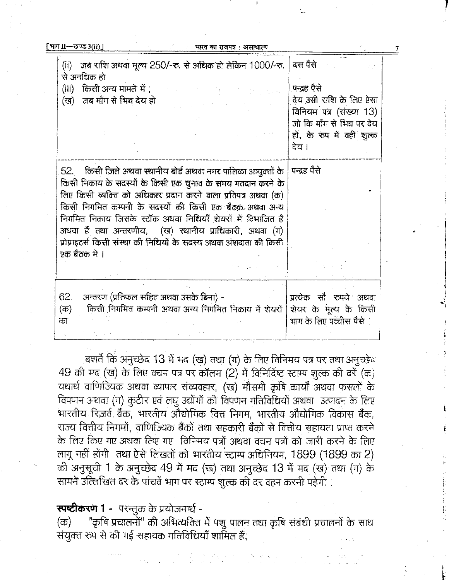| [भाग $II$ —खण्ड 3(ii)]              |                                                                                                                                                                                                                                                                                                                                                                                                                                                      | भारत का राजपत्र : असाधारण |                                                                                                                                                  |
|-------------------------------------|------------------------------------------------------------------------------------------------------------------------------------------------------------------------------------------------------------------------------------------------------------------------------------------------------------------------------------------------------------------------------------------------------------------------------------------------------|---------------------------|--------------------------------------------------------------------------------------------------------------------------------------------------|
| से अनधिक हो<br>(iii)<br>(ख)         | (ii) जब राशि अथवा मूल्य 250/-रु. से अधिक हो लेकिन 1000/-रु.<br>किसी अन्य मामले में '<br>जब माँग से भिन्न देय हो                                                                                                                                                                                                                                                                                                                                      |                           | दस पैसे<br>पन्द्रह पैसे<br>देय उसी राशि के लिए ऐसा<br>विनियम पत्र (संख्या 13)<br>जो कि माँग से भिन्न पर देय<br>हो, के रुप में वही शुल्क<br>देय । |
| 52.<br>एक बैठक में ।                | किसी जिले अथवा स्थानीय बोर्ड अथवा नगर पालिका आयुक्तों के<br>किसी निकाय के सदस्यों के किसी एक चुनाव के समय मतदान करने के<br>लिए किसी व्यक्ति को अधिकार प्रदान करने वाला प्रतिपत्र अथवा (क)<br>किसी निगमित कम्पनी के सदस्यों की किसी एक बैठक अथवा अन्य<br>निगमित निकाय जिसके स्टॉक अथवा निधियाँ शेयरों में विभाजित है<br>अथवा हैं तथा अन्तरणीय, (ख) स्थानीय प्राधिकारी, अथवा (ग)<br>प्रोप्राइटर्स किसी संस्था की निधियों के सदस्य अथवा अंशदाता की किसी |                           | पन्द्रह पैसे                                                                                                                                     |
| 62.<br>$(\overline{\sigma})$<br>का; | अन्तरण (प्रतिफल सहित अथवा उसके बिना) -<br>किसी निगमित कम्पनी अथवा अन्य निगमित निकाय में शेयरों                                                                                                                                                                                                                                                                                                                                                       |                           | प्रत्येक सौ रुपये अथवा<br>शेयर के मूल्य के किसी<br>भाग के लिए पच्चीस पैसे ।                                                                      |

, बशर्ते कि अनुच्छेद 13 में मद (ख) तथा (ग) के लिए विनिमय पत्र पर तथा अनुच्छेद  $49$  की मद (ख) के लिए वचन पत्र पर कॉलम (2) में विनिर्दिष्ट स्टाम्प शुल्क की दरें (क) यथार्थ वाणिज्यिक अथवा व्यापार संव्यवहार, (ख) मौसमी कृषि कार्यों अथवा फसलों के विपणन अथवा (ग) कुटीर एवं लघु उद्योगों की विपणन गतिविधियों अथवा उत्पादन के लिए भारतीय रिजर्व बैंक, भारतीय औद्योगिक वित्त निगम, भारतीय औद्योगिक विकास बैंक, राज्य वित्तीय निगमों, वाणिज्यिक बैंकों तथा सहकारी बैंकों से वित्तीय सहायता प्राप्त करने के लिए किए गए अथवा लिए गए विनिमय पत्रों अथवा वचन पत्रों को जारी करने के लिए लागू नहीं होंगी तथा ऐसे लिखतों को भारतीय स्टाम्प अधिनियम, 1899 (1899 का 2) की अनुसूची 1 के अनुच्छेद 49 में मद (ख) तथा अनुच्छेद 13 में मद (ख) तथा (ग) के सामने उल्लिखित दर के पांचवें भाग पर स्टाम्प शुल्क की दर वहन करनी पड़ेगी ।

**स्पष्टीकरण 1** - परन्तुक के प्रयोजनार्थ -

"कृषि प्रचालनों" की अभिव्यक्ति में पशु पालन तथा कृषि संबंधी प्रचालनों के साथ (क) संयुक्त रुप से की गई सहायक गतिविधियाँ शामिल हैं,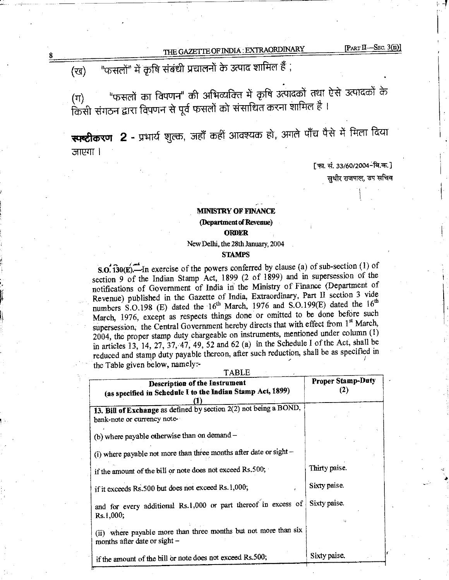$[PART II—SEC. 3(ii)]$ 

#### "फसलों" में कृषि संबंधी प्रचालनों के उत्पाद शामिल हैं , (रव)

"फसलों का विपणन" की अभिव्यक्ति में कृषि उत्पादकों तथा ऐसे उत्पादकों के  $(T)$ किसी संगठन द्वारा विपणन से पूर्व फसलों को संसाधित करना शामिल है ।

स्पष्टीकरण 2 - प्रभार्य शुल्क, जहाँ कहीं आवश्यक हो, अगले पाँच पैसे में मिला दिया जाएगा ।

> [फा. सं. 33/60/2004-बि.क.] सुधीर राजपाल, उप सचिव

## **MINISTRY OF FINANCE** (Department of Revenue) **ORDER**

New Delhi, the 28th January, 2004

#### **STAMPS**

S.O.  $\overline{130(E)}$ . In exercise of the powers conferred by clause (a) of sub-section (1) of section 9 of the Indian Stamp Act, 1899 (2 of 1899) and in supersession of the notifications of Government of India in the Ministry of Finance (Department of Revenue) published in the Gazette of India, Extraordinary, Part II section 3 vide numbers S.O.198 (E) dated the 16<sup>th</sup> March, 1976 and S.O.199(E) dated the 16<sup>th</sup> March, 1976, except as respects things done or omitted to be done before such supersession, the Central Government hereby directs that with effect from 1st March, 2004, the proper stamp duty chargeable on instruments, mentioned under column (1) in articles 13, 14, 27, 37, 47, 49, 52 and 62 (a) in the Schedule I of the Act, shall be reduced and stamp duty payable thereon, after such reduction, shall be as specified in the Table given below, namely:-

**TABLE** 

| Description of the Instrument<br>(as specified in Schedule I to the Indian Stamp Act, 1899)        | <b>Proper Stamp-Duty</b><br>(2) |  |  |
|----------------------------------------------------------------------------------------------------|---------------------------------|--|--|
| 13. Bill of Exchange as defined by section $2(2)$ not being a BOND,<br>bank-note or currency note- |                                 |  |  |
| (b) where payable otherwise than on demand -                                                       |                                 |  |  |
| (i) where payable not more than three months after date or sight -                                 |                                 |  |  |
| if the amount of the bill or note does not exceed Rs.500;                                          | Thirty paise.                   |  |  |
| if it exceeds Rs.500 but does not exceed Rs.1,000;                                                 | Sixty paise.                    |  |  |
| and for every additional Rs.1,000 or part thereof in excess of<br>Rs.1,000;                        | Sixty paise.                    |  |  |
| (ii) where payable more than three months but not more than six<br>months after date or sight -    |                                 |  |  |
| if the amount of the bill or note does not exceed Rs.500;                                          | Sixty paise.                    |  |  |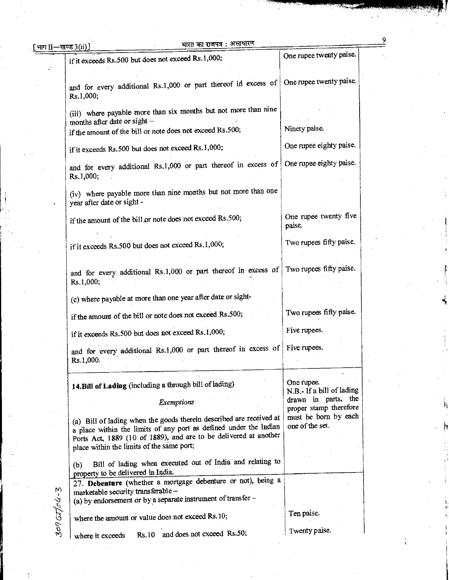| भाग $II$ —खण्ड $3(ii)$ ] | भारत का राजपत्र : असाधारण                                                                                                                                                                                                                                 |                                               |
|--------------------------|-----------------------------------------------------------------------------------------------------------------------------------------------------------------------------------------------------------------------------------------------------------|-----------------------------------------------|
|                          | if it exceeds Rs.500 but does not exceed Rs.1,000;                                                                                                                                                                                                        | One rupee twenty paise.                       |
|                          | and for every additional Rs.1,000 or part thereof in excess of One rupee twenty paise.<br>Rs.1,000;                                                                                                                                                       |                                               |
|                          | (iii) where payable more than six months but not more than nine<br>months after date or sight -                                                                                                                                                           |                                               |
|                          | if the amount of the bill or note does not exceed Rs.500;                                                                                                                                                                                                 | Ninety paise.                                 |
|                          | if it exceeds Rs.500 but does not exceed Rs.1,000;                                                                                                                                                                                                        | One rupee eighty paise.                       |
|                          | and for every additional Rs.1,000 or part thereof in excess of<br>Rs.1,000;                                                                                                                                                                               | One rupee eighty paise.                       |
|                          | (iv) where payable more than nine months but not more than one<br>year after date or sight -                                                                                                                                                              |                                               |
|                          | if the amount of the bill or note does not exceed Rs.500;                                                                                                                                                                                                 | One rupee twenty five<br>paise.               |
|                          | if it exceeds Rs.500 but does not exceed Rs.1,000;                                                                                                                                                                                                        | Two rupees fifty paise.                       |
|                          | and for every additional Rs.1,000 or part thereof in excess of<br>Rs.1,000;                                                                                                                                                                               | Two rupees fifty paise.                       |
|                          | (c) where payable at more than one year after date or sight-                                                                                                                                                                                              |                                               |
|                          | if the amount of the bill or note does not exceed Rs.500;                                                                                                                                                                                                 | Two rupees fifty paise.                       |
|                          | if it exceeds Rs.500 but does not exceed Rs.1,000;                                                                                                                                                                                                        | Five rupees.                                  |
|                          | and for every additional Rs.1,000 or part thereof in excess of<br>Rs.1,000.                                                                                                                                                                               | Five rupees.                                  |
|                          | 14. Bill of Lading (including a through bill of lading)                                                                                                                                                                                                   | One rupee.<br>N.B.- If a bill of lading       |
|                          | Exemptions                                                                                                                                                                                                                                                | drawn in parts, the<br>proper stamp therefore |
|                          | (a) Bill of lading when the goods therein described are received at<br>a place within the limits of any port as defined under the Indian<br>Ports Act, 1889 (10 of 1889), and are to be delivered at another<br>place within the limits of the same port; | must be born by each<br>one of the set.       |
|                          | Bill of lading when executed out of India and relating to<br>(b)<br>property to be delivered in India.                                                                                                                                                    |                                               |
| ۲)                       | 27. Debenture (whether a mortgage debenture or not), being a<br>marketable security transferable --<br>(a) by endorsement or by a separate instrument of transfer -                                                                                       |                                               |
| קהן בין בקי              | where the amount or value does not exceed Rs.10;                                                                                                                                                                                                          | Ten paise.                                    |
|                          | Rs.10 and does not exceed Rs.50;<br>where it exceeds                                                                                                                                                                                                      | Twenty paise.                                 |

 $\frac{9}{2}$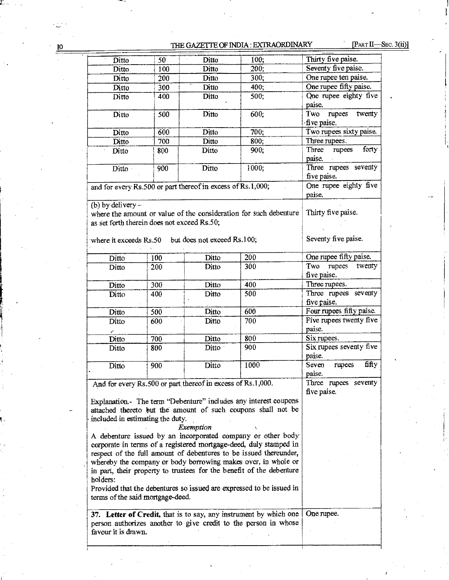# 10 THE GAZETTE OF INDIA : EXTRAORDINARY [PART II-SEC. 3(ii)]

| Ditto                                                                                                                                  | 50                                                                               | Ditto                                                       | 100;                                                                                                                             | Thirty five paise.                            |  |  |
|----------------------------------------------------------------------------------------------------------------------------------------|----------------------------------------------------------------------------------|-------------------------------------------------------------|----------------------------------------------------------------------------------------------------------------------------------|-----------------------------------------------|--|--|
| Ditto                                                                                                                                  | 100                                                                              | Ditto                                                       | 200:                                                                                                                             | Seventy five paise.                           |  |  |
| Ditto                                                                                                                                  | 200                                                                              | Ditto                                                       | 300;                                                                                                                             | One rupee ten paise.                          |  |  |
| Ditto                                                                                                                                  | 300                                                                              | Ditto                                                       | 400;                                                                                                                             | One rupee fifty paise.                        |  |  |
| Ditto                                                                                                                                  | 400                                                                              | Ditto                                                       | 500;                                                                                                                             | One rupee eighty five<br>paise.               |  |  |
| Ditto                                                                                                                                  | 500                                                                              | Ditto                                                       | 600,                                                                                                                             | <b>Two</b><br>twenty<br>rupees<br>five paise. |  |  |
| Ditto                                                                                                                                  | 600                                                                              | Ditto                                                       | 700:                                                                                                                             | Two rupees sixty paise.                       |  |  |
| Ditto                                                                                                                                  | 700                                                                              | Ditto                                                       | 800;                                                                                                                             | Three rupees.                                 |  |  |
| Ditto                                                                                                                                  | 800                                                                              | Ditto                                                       | 900;                                                                                                                             | forty<br>Three<br>rupees<br>paise.            |  |  |
| Ditto                                                                                                                                  | 900                                                                              | Ditto                                                       | 1000;                                                                                                                            | Three rupees seventy<br>five paise.           |  |  |
| and for every Rs.500 or part thereof in excess of Rs.1,000;                                                                            |                                                                                  |                                                             |                                                                                                                                  | One rupee eighty five<br>paise.               |  |  |
| (b) by delivery $-$<br>as set forth therein does not exceed Rs.50;                                                                     |                                                                                  |                                                             | where the amount or value of the consideration for such debenture                                                                | Thirty five paise.                            |  |  |
| where it exceeds Rs.50 but does not exceed Rs.100;                                                                                     |                                                                                  |                                                             |                                                                                                                                  | Seventy five paise.                           |  |  |
| Ditto                                                                                                                                  | 100                                                                              | Ditto                                                       | 200                                                                                                                              | One rupee fifty paise.                        |  |  |
| Ditto                                                                                                                                  | 200                                                                              | Ditto                                                       | 300                                                                                                                              | twenty<br>rupees<br>Two<br>five paise.        |  |  |
| Ditto                                                                                                                                  | 300                                                                              | Ditto                                                       | 400                                                                                                                              | Three rupees.                                 |  |  |
| Ditto                                                                                                                                  | 400                                                                              | Ditto                                                       | 500                                                                                                                              | Three rupees seventy                          |  |  |
|                                                                                                                                        |                                                                                  |                                                             |                                                                                                                                  |                                               |  |  |
| Ditto                                                                                                                                  | 500                                                                              | Ditto                                                       | 600                                                                                                                              | Four rupees fifty paise.                      |  |  |
| Ditto<br>x                                                                                                                             | 600                                                                              | Ditto                                                       | Z<br>700                                                                                                                         | Five rupees twenty five<br>paise.             |  |  |
| Ditto                                                                                                                                  | 700                                                                              | Ditto                                                       | 800                                                                                                                              | Six rupees.                                   |  |  |
| Ditto                                                                                                                                  | 800                                                                              | Ditto                                                       | 900                                                                                                                              | Six rupees seventy five<br>paise.             |  |  |
| Ditto                                                                                                                                  | 900                                                                              | Ditto                                                       | 1000                                                                                                                             | fifty<br>Seven<br>rupees<br>paise.            |  |  |
|                                                                                                                                        |                                                                                  | And for every Rs.500 or part thereof in excess of Rs.1,000. |                                                                                                                                  | Three rupees seventy<br>five paise.           |  |  |
|                                                                                                                                        |                                                                                  |                                                             | Explanation.- The term "Debenture" includes any interest coupons<br>attached thereto but the amount of such coupons shall not be |                                               |  |  |
| included in estimating the duty.                                                                                                       |                                                                                  |                                                             |                                                                                                                                  |                                               |  |  |
|                                                                                                                                        |                                                                                  | Exemption                                                   | A debenture issued by an incorporated company or other body                                                                      |                                               |  |  |
|                                                                                                                                        |                                                                                  |                                                             |                                                                                                                                  |                                               |  |  |
| corporate in terms of a registered mortgage-deed, duly stamped in<br>respect of the full amount of debentures to be issued thereunder, |                                                                                  |                                                             |                                                                                                                                  |                                               |  |  |
|                                                                                                                                        |                                                                                  |                                                             |                                                                                                                                  |                                               |  |  |
| whereby the company or body borrowing makes over, in whole or<br>in part, their property to trustees for the benefit of the debenture  |                                                                                  |                                                             |                                                                                                                                  |                                               |  |  |
|                                                                                                                                        | holders:<br>Provided that the debentures so issued are expressed to be issued in |                                                             |                                                                                                                                  |                                               |  |  |
| terms of the said mortgage-deed.                                                                                                       |                                                                                  |                                                             |                                                                                                                                  |                                               |  |  |
|                                                                                                                                        |                                                                                  |                                                             | 37. Letter of Credit, that is to say, any instrument by which one                                                                | One rupee.                                    |  |  |
| favour it is drawn.                                                                                                                    |                                                                                  |                                                             | person authorizes another to give credit to the person in whose                                                                  |                                               |  |  |
|                                                                                                                                        |                                                                                  |                                                             |                                                                                                                                  |                                               |  |  |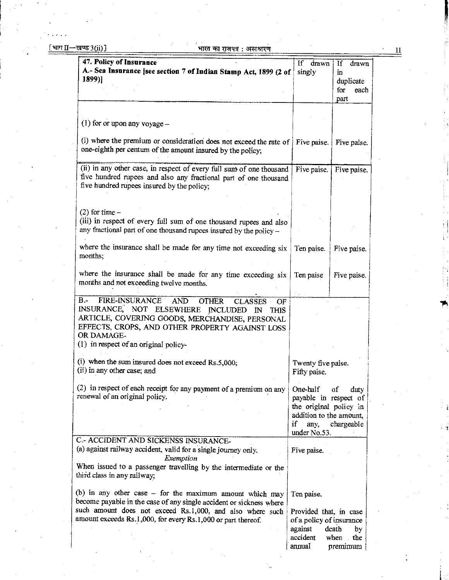11

| 47. Policy of Insurance                                                                                                                   | If<br>drawn                        | If<br>drawn |
|-------------------------------------------------------------------------------------------------------------------------------------------|------------------------------------|-------------|
| A.- Sea Insurance [see section 7 of Indian Stamp Act, 1899 (2 of                                                                          | singly                             | in          |
| 1899)]                                                                                                                                    |                                    | duplicate   |
|                                                                                                                                           |                                    | for<br>each |
|                                                                                                                                           |                                    | part        |
|                                                                                                                                           |                                    |             |
| $(1)$ for or upon any voyage –                                                                                                            |                                    |             |
|                                                                                                                                           |                                    |             |
| (i) where the premium or consideration does not exceed the rate of                                                                        | Five paise.                        | Five paise. |
| one-eighth per centum of the amount insured by the policy;                                                                                |                                    |             |
| (ii) in any other case, in respect of every full sum of one thousand                                                                      | Five paise.                        | Five paise. |
| five hundred rupees and also any fractional part of one thousand                                                                          |                                    |             |
| five hundred rupees insured by the policy;                                                                                                |                                    |             |
|                                                                                                                                           |                                    |             |
|                                                                                                                                           |                                    |             |
| $(2)$ for time –                                                                                                                          |                                    |             |
| (iii) in respect of every full sum of one thousand rupees and also<br>any fractional part of one thousand rupees insured by the policy -- |                                    |             |
|                                                                                                                                           |                                    |             |
| where the insurance shall be made for any time not exceeding six                                                                          | Ten paise.                         | Five paise. |
| months;                                                                                                                                   |                                    |             |
|                                                                                                                                           |                                    |             |
| where the insurance shall be made for any time exceeding six                                                                              | Ten paise                          | Five paise. |
| months and not exceeding twelve months.                                                                                                   |                                    |             |
| FIRE-INSURANCE<br>$B -$<br><b>AND</b>                                                                                                     |                                    |             |
| <b>OTHER</b><br><b>CLASSES</b><br>OF<br>INSURANCE, NOT ELSEWHERE INCLUDED<br>IN<br><b>THIS</b>                                            |                                    |             |
| ARTICLE, COVERING GOODS, MERCHANDISE, PERSONAL                                                                                            |                                    |             |
| EFFECTS, CROPS, AND OTHER PROPERTY AGAINST LOSS                                                                                           |                                    |             |
| OR DAMAGE-                                                                                                                                |                                    |             |
| $(1)$ in respect of an original policy-                                                                                                   |                                    |             |
| (i) when the sum insured does not exceed $Rs.5,000$ ;                                                                                     |                                    |             |
| (ii) in any other case; and                                                                                                               | Twenty five paise.<br>Fifty paise. |             |
|                                                                                                                                           |                                    |             |
| (2) in respect of each receipt for any payment of a premium on any                                                                        | One-half                           | of<br>duty  |
| renewal of an original policy.                                                                                                            | payable in respect of              |             |
|                                                                                                                                           | the original policy in             |             |
|                                                                                                                                           | addition to the amount,            |             |
|                                                                                                                                           | if<br>any,<br>under No.53.         | chargeable  |
| C.- ACCIDENT AND SICKENSS INSURANCE-                                                                                                      |                                    |             |
| (a) against railway accident, valid for a single journey only.                                                                            | Five paise.                        |             |
| Exemption                                                                                                                                 |                                    |             |
| When issued to a passenger travelling by the intermediate or the                                                                          |                                    |             |
| third class in any railway;                                                                                                               |                                    |             |
| (b) in any other case – for the maximum amount which may                                                                                  | Ten paise.                         |             |
| become payable in the case of any single accident or sickness where                                                                       |                                    |             |
| such amount does not exceed Rs.1,000, and also where such                                                                                 | Provided that, in case             |             |
| amount exceeds Rs.1,000, for every Rs.1,000 or part thereof.                                                                              | of a policy of insurance           |             |
|                                                                                                                                           | against                            | death<br>by |
|                                                                                                                                           | accident                           | when<br>the |
|                                                                                                                                           | annual                             | premimum    |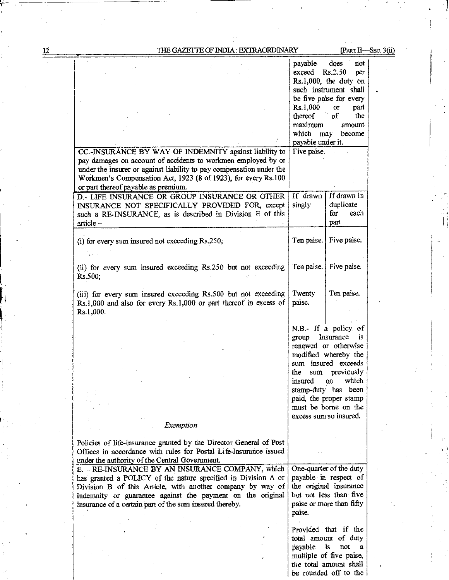$\overline{12}$ 

l

i

## THE GAZETTE OF INDIA : EXTRAORDINARY [PART II—SEC. 3(ii)

|                                                                                                                                                                                                                                                                                                          | payable does<br>exceed       | not<br>Rs, 2.50<br>per<br>$Rs.1,000$ , the duty on<br>such instrument shall                                                      |  |
|----------------------------------------------------------------------------------------------------------------------------------------------------------------------------------------------------------------------------------------------------------------------------------------------------------|------------------------------|----------------------------------------------------------------------------------------------------------------------------------|--|
|                                                                                                                                                                                                                                                                                                          | Rs.1,000<br>thereof          | be five paise for every<br>part<br>$\overline{or}$<br>$\mathbf{d}$<br>the                                                        |  |
|                                                                                                                                                                                                                                                                                                          | maximum<br>payable under it. | amount<br>which may become                                                                                                       |  |
| CC.-INSURANCE BY WAY OF INDEMNITY against liability to<br>pay damages on account of accidents to workmen employed by or<br>under the insurer or against liability to pay compensation under the<br>Workmen's Compensation Act, 1923 (8 of 1923), for every Rs.100                                        | Five paise.                  |                                                                                                                                  |  |
| or part thereof payable as premium.<br>D.- LIFE INSURANCE OR GROUP INSURANCE OR OTHER<br>INSURANCE NOT SPECIFICALLY PROVIDED FOR, except<br>such a RE-INSURANCE, as is described in Division E of this                                                                                                   | If drawn<br>singly           | If drawn in<br>duplicate<br>for<br>each                                                                                          |  |
| article-                                                                                                                                                                                                                                                                                                 |                              | part                                                                                                                             |  |
| (i) for every sum insured not exceeding Rs.250;                                                                                                                                                                                                                                                          | Ten paise.                   | Five paise.                                                                                                                      |  |
| (ii) for every sum insured exceeding Rs.250 but not exceeding<br>Rs.500;                                                                                                                                                                                                                                 | Ten paise.                   | Five paise.                                                                                                                      |  |
| (iii) for every sum insured exceeding Rs.500 but not exceeding<br>Rs.1,000 and also for every Rs.1,000 or part thereof in excess of<br>Rs.1,000.                                                                                                                                                         | Twenty<br>paise.             | Ten paise.                                                                                                                       |  |
|                                                                                                                                                                                                                                                                                                          | group                        | N.B.- If a policy of<br>Insurance<br>is.                                                                                         |  |
|                                                                                                                                                                                                                                                                                                          |                              | renewed or otherwise<br>modified whereby the<br>sum insured exceeds                                                              |  |
|                                                                                                                                                                                                                                                                                                          | the<br>sum<br>insured        | previously<br>which<br>on                                                                                                        |  |
|                                                                                                                                                                                                                                                                                                          |                              | stamp-duty has been<br>paid, the proper stamp<br>must be borne on the<br>excess sum so insured.                                  |  |
| Exemption                                                                                                                                                                                                                                                                                                |                              |                                                                                                                                  |  |
| Policies of life-insurance granted by the Director General of Post<br>Offices in accordance with rules for Postal Life-Insurance issued<br>under the authority of the Central Government.                                                                                                                |                              |                                                                                                                                  |  |
| E. - RE-INSURANCE BY AN INSURANCE COMPANY, which<br>has granted a POLICY of the nature specified in Division A or<br>Division B of this Article, with another company by way of<br>indemnity or guarantee against the payment on the original<br>insurance of a certain part of the sum insured thereby. | paise.                       | One-quarter of the duty<br>payable in respect of<br>the original insurance<br>but not less than five<br>paise or more than fifty |  |
|                                                                                                                                                                                                                                                                                                          | payable is                   | Provided that if the<br>total amount of duty<br>not<br>a<br>multiple of five paise,<br>the total amount shall                    |  |
|                                                                                                                                                                                                                                                                                                          |                              | be rounded off to the                                                                                                            |  |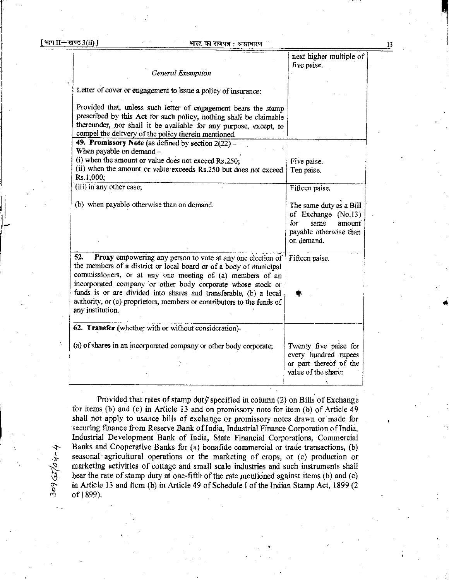309qu,.

 $\rightarrow$ 

|                                                                                                                                                                                                                                                                                                                                                                                                                                        | next higher multiple of<br>five paise.                                                                          |
|----------------------------------------------------------------------------------------------------------------------------------------------------------------------------------------------------------------------------------------------------------------------------------------------------------------------------------------------------------------------------------------------------------------------------------------|-----------------------------------------------------------------------------------------------------------------|
| General Exemption                                                                                                                                                                                                                                                                                                                                                                                                                      |                                                                                                                 |
| Letter of cover or engagement to issue a policy of insurance:                                                                                                                                                                                                                                                                                                                                                                          |                                                                                                                 |
| Provided that, unless such letter of engagement bears the stamp<br>prescribed by this Act for such policy, nothing shall be claimable<br>thereunder, nor shall it be available for any purpose, except, to<br>compel the delivery of the policy therein mentioned.                                                                                                                                                                     |                                                                                                                 |
| 49. Promissory Note (as defined by section 2(22) -<br>When payable on demand -                                                                                                                                                                                                                                                                                                                                                         |                                                                                                                 |
| (i) when the amount or value does not exceed Rs.250;<br>(ii) when the amount or value exceeds Rs.250 but does not exceed<br>Rs.1,000;                                                                                                                                                                                                                                                                                                  | Five paise.<br>Ten paise.                                                                                       |
| (iii) in any other case;                                                                                                                                                                                                                                                                                                                                                                                                               | Fifteen paise.                                                                                                  |
| (b) when payable otherwise than on demand.                                                                                                                                                                                                                                                                                                                                                                                             | The same duty as a Bill<br>of Exchange (No.13)<br>for<br>same<br>amount<br>payable otherwise than<br>on demand. |
| 52.<br>Proxy empowering any person to vote at any one election of<br>the members of a district or local board or of a body of municipal<br>commissioners, or at any one meeting of (a) members of an<br>incorporated company or other body corporate whose stock or<br>funds is or are divided into shares and transferable, (b) a local<br>authority, or (c) proprietors, members or contributors to the funds of<br>any institution. | Fifteen paise.                                                                                                  |
| 62. Transfer (whether with or without consideration)-<br>(a) of shares in an incorporated company or other body corporate;                                                                                                                                                                                                                                                                                                             | Twenty five paise for<br>every hundred rupees<br>or part thereof of the<br>value of the share:                  |

Provided that rates of stamp duty specified in column  $(2)$  on Bills of Exchange for items (b) and (c) in Article <sup>13</sup> and on promissory note for item (b) of Article <sup>49</sup> shall not apply to usance bills of exchange or promissory notes drawn or made for securing finance from Reserve Bank of India, Industrial Finance Corporation of India, Industrial Development Bank of India, State Financial Corporations, Commercial Banks and Cooperative Banks for (a) bonafide commercial or trade transactions, (b) seasonal agricultural operations or the marketing of crops, or (c) production or marketing activities of cottage and small scale industries and such instruments shall bear the rate of stamp duty at one-fifth of the rate mentioned against items (b) and (c) in Article 13 and item (b) in Article 49 of Schedule I of the Indian Stamp Act, 1899 (2) of 1899).